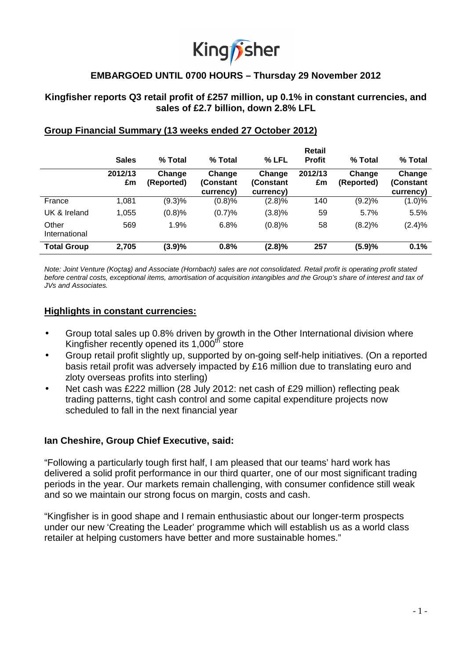# King fisher

# **EMBARGOED UNTIL 0700 HOURS – Thursday 29 November 2012**

# **Kingfisher reports Q3 retail profit of £257 million, up 0.1% in constant currencies, and sales of £2.7 billion, down 2.8% LFL**

|                        |               |                      |                                  |                                  | Retail        |                      |                                  |
|------------------------|---------------|----------------------|----------------------------------|----------------------------------|---------------|----------------------|----------------------------------|
|                        | <b>Sales</b>  | % Total              | % Total                          | $%$ LFL                          | <b>Profit</b> | % Total              | % Total                          |
|                        | 2012/13<br>£m | Change<br>(Reported) | Change<br>(Constant<br>currency) | Change<br>(Constant<br>currency) | 2012/13<br>£m | Change<br>(Reported) | Change<br>(Constant<br>currency) |
| France                 | 1,081         | $(9.3)\%$            | (0.8)%                           | (2.8)%                           | 140           | (9.2)%               | (1.0)%                           |
| UK & Ireland           | 1,055         | (0.8)%               | (0.7)%                           | (3.8)%                           | 59            | 5.7%                 | 5.5%                             |
| Other<br>International | 569           | 1.9%                 | 6.8%                             | (0.8)%                           | 58            | (8.2)%               | (2.4)%                           |
| <b>Total Group</b>     | 2,705         | (3.9)%               | 0.8%                             | (2.8)%                           | 257           | (5.9)%               | 0.1%                             |

# **Group Financial Summary (13 weeks ended 27 October 2012)**

Note: Joint Venture (Koçtaş) and Associate (Hornbach) sales are not consolidated. Retail profit is operating profit stated before central costs, exceptional items, amortisation of acquisition intangibles and the Group's share of interest and tax of JVs and Associates.

#### **Highlights in constant currencies:**

- Group total sales up 0.8% driven by growth in the Other International division where Kingfisher recently opened its  $1,000$ <sup>th</sup> store
- Group retail profit slightly up, supported by on-going self-help initiatives. (On a reported basis retail profit was adversely impacted by £16 million due to translating euro and zloty overseas profits into sterling)
- Net cash was £222 million (28 July 2012: net cash of £29 million) reflecting peak trading patterns, tight cash control and some capital expenditure projects now scheduled to fall in the next financial year

# **Ian Cheshire, Group Chief Executive, said:**

"Following a particularly tough first half, I am pleased that our teams' hard work has delivered a solid profit performance in our third quarter, one of our most significant trading periods in the year. Our markets remain challenging, with consumer confidence still weak and so we maintain our strong focus on margin, costs and cash.

"Kingfisher is in good shape and I remain enthusiastic about our longer-term prospects under our new 'Creating the Leader' programme which will establish us as a world class retailer at helping customers have better and more sustainable homes."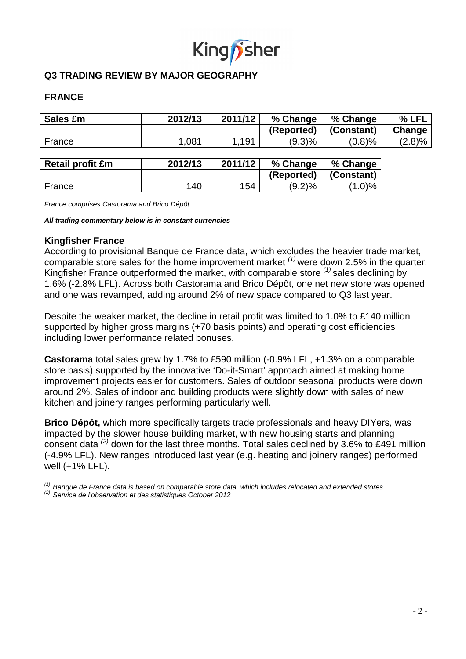

# **Q3 TRADING REVIEW BY MAJOR GEOGRAPHY**

# **FRANCE**

| <b>Sales £m</b>         | 2012/13 | 2011/12 | % Change   | % Change   | % LFL  |
|-------------------------|---------|---------|------------|------------|--------|
|                         |         |         | (Reported) | (Constant) | Change |
| France                  | 1,081   | 1,191   | (9.3)%     | (0.8)%     | (2.8)% |
|                         |         |         |            |            |        |
| <b>Retail profit £m</b> | 2012/13 | 2011/12 | % Change   | % Change   |        |
|                         |         |         | (Reported) | (Constant) |        |
| France                  | 140     | 154     | $(9.2)\%$  | $(1.0)\%$  |        |

France comprises Castorama and Brico Dépôt

**All trading commentary below is in constant currencies**

#### **Kingfisher France**

According to provisional Banque de France data, which excludes the heavier trade market, comparable store sales for the home improvement market  $^{(1)}$  were down 2.5% in the quarter. Kingfisher France outperformed the market, with comparable store  $(1)$  sales declining by 1.6% (-2.8% LFL). Across both Castorama and Brico Dépôt, one net new store was opened and one was revamped, adding around 2% of new space compared to Q3 last year.

Despite the weaker market, the decline in retail profit was limited to 1.0% to £140 million supported by higher gross margins (+70 basis points) and operating cost efficiencies including lower performance related bonuses.

**Castorama** total sales grew by 1.7% to £590 million (-0.9% LFL, +1.3% on a comparable store basis) supported by the innovative 'Do-it-Smart' approach aimed at making home improvement projects easier for customers. Sales of outdoor seasonal products were down around 2%. Sales of indoor and building products were slightly down with sales of new kitchen and joinery ranges performing particularly well.

**Brico Dépôt,** which more specifically targets trade professionals and heavy DIYers, was impacted by the slower house building market, with new housing starts and planning consent data (2) down for the last three months. Total sales declined by 3.6% to £491 million (-4.9% LFL). New ranges introduced last year (e.g. heating and joinery ranges) performed well (+1% LFL).

 $<sup>(1)</sup>$  Banque de France data is based on comparable store data, which includes relocated and extended stores</sup>

 $(2)$  Service de l'observation et des statistiques October 2012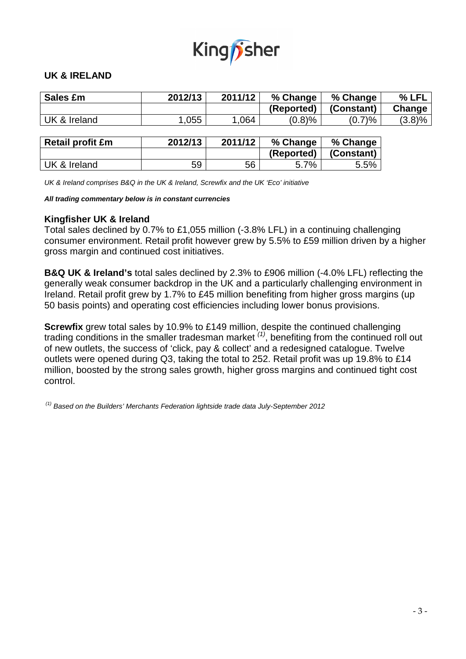

# **UK & IRELAND**

| <b>Sales £m</b>         | 2012/13 | 2011/12 |            | % Change   | % LFL  |
|-------------------------|---------|---------|------------|------------|--------|
|                         |         |         | (Reported) | (Constant) | Change |
| UK & Ireland            | 1,055   | 1,064   | (0.8)%     | (0.7)%     | (3.8)% |
|                         |         |         |            |            |        |
| <b>Retail profit £m</b> | 2012/13 | 2011/12 | % Change   | % Change   |        |
|                         |         |         | (Reported) | (Constant) |        |
| UK & Ireland            | 59      | 56      | 5.7%       | 5.5%       |        |

UK & Ireland comprises B&Q in the UK & Ireland, Screwfix and the UK 'Eco' initiative

#### **All trading commentary below is in constant currencies**

#### **Kingfisher UK & Ireland**

Total sales declined by 0.7% to £1,055 million (-3.8% LFL) in a continuing challenging consumer environment. Retail profit however grew by 5.5% to £59 million driven by a higher gross margin and continued cost initiatives.

**B&Q UK & Ireland's** total sales declined by 2.3% to £906 million (-4.0% LFL) reflecting the generally weak consumer backdrop in the UK and a particularly challenging environment in Ireland. Retail profit grew by 1.7% to £45 million benefiting from higher gross margins (up 50 basis points) and operating cost efficiencies including lower bonus provisions.

**Screwfix** grew total sales by 10.9% to £149 million, despite the continued challenging trading conditions in the smaller tradesman market  $(1)$ , benefiting from the continued roll out of new outlets, the success of 'click, pay & collect' and a redesigned catalogue. Twelve outlets were opened during Q3, taking the total to 252. Retail profit was up 19.8% to £14 million, boosted by the strong sales growth, higher gross margins and continued tight cost control.

 $<sup>(1)</sup>$  Based on the Builders' Merchants Federation lightside trade data July-September 2012</sup>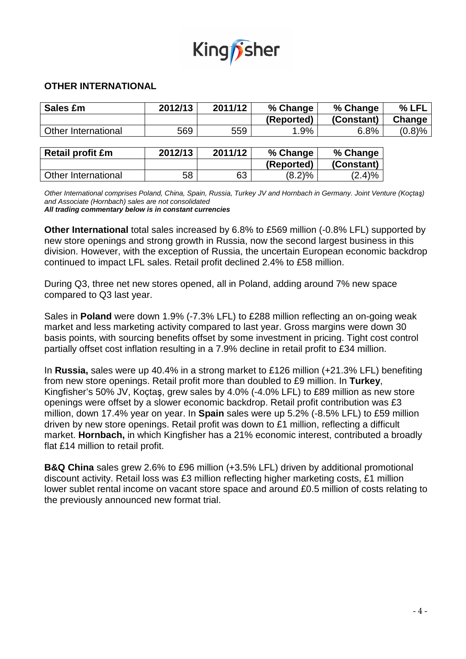

# **OTHER INTERNATIONAL**

| Sales £m                   | 2012/13 | 2011/12 | % Change   | % Change   | $%$ LFL |
|----------------------------|---------|---------|------------|------------|---------|
|                            |         |         | (Reported) | (Constant) | Change  |
| <b>Other International</b> | 569     | 559     | 1.9%       | 6.8%       | (0.8)%  |
|                            |         |         |            |            |         |
| <b>Retail profit £m</b>    | 2012/13 | 2011/12 | % Change   | % Change   |         |
|                            |         |         | (Reported) | (Constant) |         |
| Other International        | 58      | 63      | (8.2)%     | $(2.4)\%$  |         |

Other International comprises Poland, China, Spain, Russia, Turkey JV and Hornbach in Germany. Joint Venture (Koçtaş) and Associate (Hornbach) sales are not consolidated **All trading commentary below is in constant currencies** 

**Other International** total sales increased by 6.8% to £569 million (-0.8% LFL) supported by new store openings and strong growth in Russia, now the second largest business in this division. However, with the exception of Russia, the uncertain European economic backdrop continued to impact LFL sales. Retail profit declined 2.4% to £58 million.

During Q3, three net new stores opened, all in Poland, adding around 7% new space compared to Q3 last year.

Sales in **Poland** were down 1.9% (-7.3% LFL) to £288 million reflecting an on-going weak market and less marketing activity compared to last year. Gross margins were down 30 basis points, with sourcing benefits offset by some investment in pricing. Tight cost control partially offset cost inflation resulting in a 7.9% decline in retail profit to £34 million.

In **Russia,** sales were up 40.4% in a strong market to £126 million (+21.3% LFL) benefiting from new store openings. Retail profit more than doubled to £9 million. In **Turkey**, Kingfisher's 50% JV, Koçtaş, grew sales by 4.0% (-4.0% LFL) to £89 million as new store openings were offset by a slower economic backdrop. Retail profit contribution was £3 million, down 17.4% year on year. In **Spain** sales were up 5.2% (-8.5% LFL) to £59 million driven by new store openings. Retail profit was down to £1 million, reflecting a difficult market. **Hornbach,** in which Kingfisher has a 21% economic interest, contributed a broadly flat £14 million to retail profit.

**B&Q China** sales grew 2.6% to £96 million (+3.5% LFL) driven by additional promotional discount activity. Retail loss was £3 million reflecting higher marketing costs, £1 million lower sublet rental income on vacant store space and around £0.5 million of costs relating to the previously announced new format trial.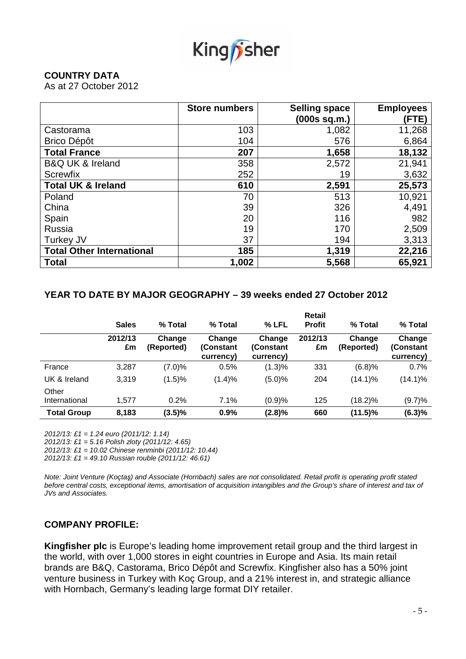

# **COUNTRY DATA**

As at 27 October 2012

|                                  | <b>Store numbers</b> | <b>Selling space</b> | <b>Employees</b> |
|----------------------------------|----------------------|----------------------|------------------|
|                                  |                      | (000s sq.m.)         | (FTE)            |
| Castorama                        | 103                  | 1,082                | 11,268           |
| <b>Brico Dépôt</b>               | 104                  | 576                  | 6,864            |
| <b>Total France</b>              | 207                  | 1,658                | 18,132           |
| <b>B&amp;Q UK &amp; Ireland</b>  | 358                  | 2,572                | 21,941           |
| <b>Screwfix</b>                  | 252                  | 19                   | 3,632            |
| <b>Total UK &amp; Ireland</b>    | 610                  | 2,591                | 25,573           |
| Poland                           | 70                   | 513                  | 10,921           |
| China                            | 39                   | 326                  | 4,491            |
| Spain                            | 20                   | 116                  | 982              |
| Russia                           | 19                   | 170                  | 2,509            |
| Turkey JV                        | 37                   | 194                  | 3,313            |
| <b>Total Other International</b> | 185                  | 1,319                | 22,216           |
| <b>Total</b>                     | 1,002                | 5,568                | 65,921           |

# **YEAR TO DATE BY MAJOR GEOGRAPHY – 39 weeks ended 27 October 2012**

|                        | <b>Sales</b>  | % Total              | % Total                          | % LFL                            | Retail<br><b>Profit</b> | % Total              | % Total                          |
|------------------------|---------------|----------------------|----------------------------------|----------------------------------|-------------------------|----------------------|----------------------------------|
|                        | 2012/13<br>£m | Change<br>(Reported) | Change<br>(Constant<br>currency) | Change<br>(Constant<br>currency) | 2012/13<br>£m           | Change<br>(Reported) | Change<br>(Constant<br>currency) |
| France                 | 3,287         | (7.0)%               | 0.5%                             | (1.3)%                           | 331                     | (6.8)%               | 0.7%                             |
| UK & Ireland           | 3,319         | (1.5)%               | (1.4)%                           | (5.0)%                           | 204                     | $(14.1)\%$           | $(14.1)\%$                       |
| Other<br>International | 1.577         | 0.2%                 | 7.1%                             | (0.9)%                           | 125                     | (18.2)%              | (9.7)%                           |
| <b>Total Group</b>     | 8,183         | $(3.5)\%$            | 0.9%                             | $(2.8)\%$                        | 660                     | $(11.5)\%$           | (6.3)%                           |

2012/13: £1 = 1.24 euro (2011/12: 1.14)

2012/13: £1 = 5.16 Polish zloty (2011/12: 4.65)

2012/13: £1 = 10.02 Chinese renminbi (2011/12: 10.44)

2012/13: £1 = 49.10 Russian rouble  $(2011/12: 46.61)$ 

Note: Joint Venture (Koçtaş) and Associate (Hornbach) sales are not consolidated. Retail profit is operating profit stated before central costs, exceptional items, amortisation of acquisition intangibles and the Group's share of interest and tax of JVs and Associates.

# **COMPANY PROFILE:**

**Kingfisher plc** is Europe's leading home improvement retail group and the third largest in the world, with over 1,000 stores in eight countries in Europe and Asia. Its main retail brands are B&Q, Castorama, Brico Dépôt and Screwfix. Kingfisher also has a 50% joint venture business in Turkey with Koç Group, and a 21% interest in, and strategic alliance with Hornbach, Germany's leading large format DIY retailer.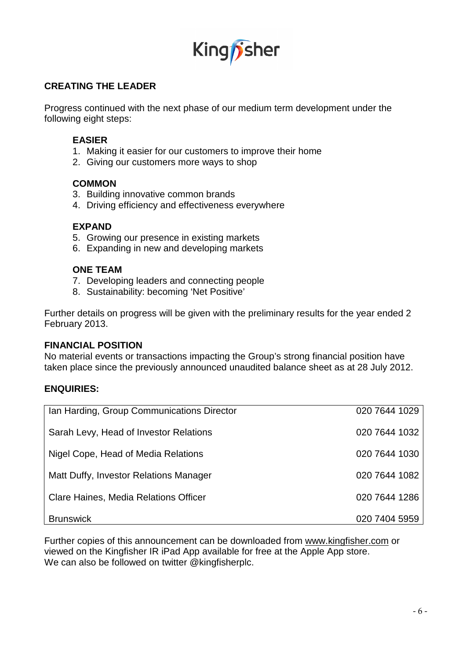

# **CREATING THE LEADER**

Progress continued with the next phase of our medium term development under the following eight steps:

# **EASIER**

- 1. Making it easier for our customers to improve their home
- 2. Giving our customers more ways to shop

#### **COMMON**

- 3. Building innovative common brands
- 4. Driving efficiency and effectiveness everywhere

#### **EXPAND**

- 5. Growing our presence in existing markets
- 6. Expanding in new and developing markets

# **ONE TEAM**

- 7. Developing leaders and connecting people
- 8. Sustainability: becoming 'Net Positive'

Further details on progress will be given with the preliminary results for the year ended 2 February 2013.

#### **FINANCIAL POSITION**

No material events or transactions impacting the Group's strong financial position have taken place since the previously announced unaudited balance sheet as at 28 July 2012.

# **ENQUIRIES:**

| Ian Harding, Group Communications Director | 020 7644 1029 |
|--------------------------------------------|---------------|
| Sarah Levy, Head of Investor Relations     | 020 7644 1032 |
| Nigel Cope, Head of Media Relations        | 020 7644 1030 |
| Matt Duffy, Investor Relations Manager     | 020 7644 1082 |
| Clare Haines, Media Relations Officer      | 020 7644 1286 |
| <b>Brunswick</b>                           | 020 7404 5959 |

Further copies of this announcement can be downloaded from www.kingfisher.com or viewed on the Kingfisher IR iPad App available for free at the Apple App store. We can also be followed on twitter @kingfisherplc.